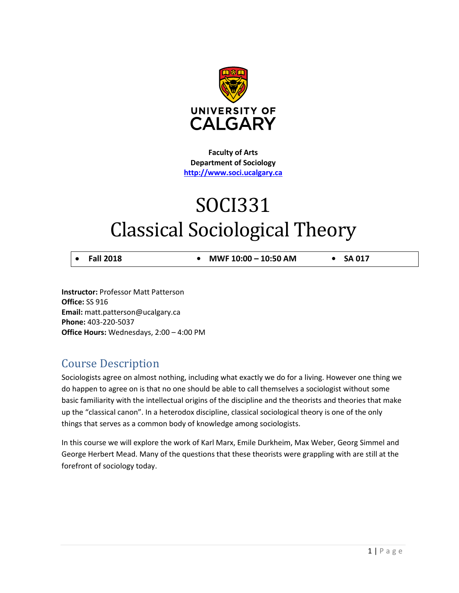

**Faculty of Arts Department of Sociology [http://www.soci.ucalgary.ca](http://www.soci.ucalgary.ca/)**

# SOCI331 Classical Sociological Theory

• **Fall 2018 • MWF 10:00 – 10:50 AM • SA 017**

**Instructor:** Professor Matt Patterson **Office:** SS 916 **Email:** matt.patterson@ucalgary.ca **Phone:** 403-220-5037 **Office Hours:** Wednesdays, 2:00 – 4:00 PM

# Course Description

Sociologists agree on almost nothing, including what exactly we do for a living. However one thing we do happen to agree on is that no one should be able to call themselves a sociologist without some basic familiarity with the intellectual origins of the discipline and the theorists and theories that make up the "classical canon". In a heterodox discipline, classical sociological theory is one of the only things that serves as a common body of knowledge among sociologists.

In this course we will explore the work of Karl Marx, Emile Durkheim, Max Weber, Georg Simmel and George Herbert Mead. Many of the questions that these theorists were grappling with are still at the forefront of sociology today.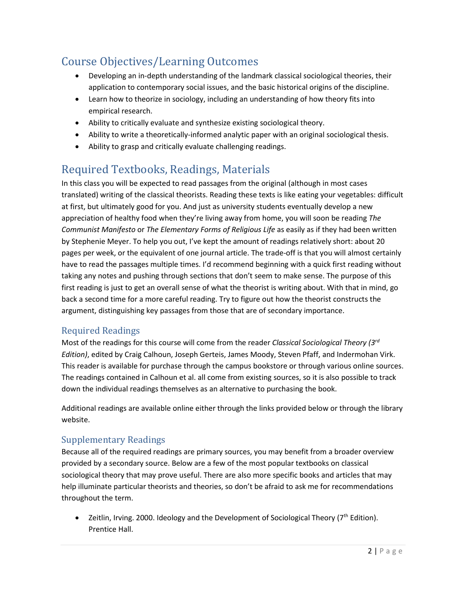# Course Objectives/Learning Outcomes

- Developing an in-depth understanding of the landmark classical sociological theories, their application to contemporary social issues, and the basic historical origins of the discipline.
- Learn how to theorize in sociology, including an understanding of how theory fits into empirical research.
- Ability to critically evaluate and synthesize existing sociological theory.
- Ability to write a theoretically-informed analytic paper with an original sociological thesis.
- Ability to grasp and critically evaluate challenging readings.

# Required Textbooks, Readings, Materials

In this class you will be expected to read passages from the original (although in most cases translated) writing of the classical theorists. Reading these texts is like eating your vegetables: difficult at first, but ultimately good for you. And just as university students eventually develop a new appreciation of healthy food when they're living away from home, you will soon be reading *The Communist Manifesto* or *The Elementary Forms of Religious Life* as easily as if they had been written by Stephenie Meyer. To help you out, I've kept the amount of readings relatively short: about 20 pages per week, or the equivalent of one journal article. The trade-off is that you will almost certainly have to read the passages multiple times. I'd recommend beginning with a quick first reading without taking any notes and pushing through sections that don't seem to make sense. The purpose of this first reading is just to get an overall sense of what the theorist is writing about. With that in mind, go back a second time for a more careful reading. Try to figure out how the theorist constructs the argument, distinguishing key passages from those that are of secondary importance.

### Required Readings

Most of the readings for this course will come from the reader *Classical Sociological Theory (3rd Edition)*, edited by Craig Calhoun, Joseph Gerteis, James Moody, Steven Pfaff, and Indermohan Virk. This reader is available for purchase through the campus bookstore or through various online sources. The readings contained in Calhoun et al. all come from existing sources, so it is also possible to track down the individual readings themselves as an alternative to purchasing the book.

Additional readings are available online either through the links provided below or through the library website.

### Supplementary Readings

Because all of the required readings are primary sources, you may benefit from a broader overview provided by a secondary source. Below are a few of the most popular textbooks on classical sociological theory that may prove useful. There are also more specific books and articles that may help illuminate particular theorists and theories, so don't be afraid to ask me for recommendations throughout the term.

• Zeitlin, Irving. 2000. Ideology and the Development of Sociological Theory (7<sup>th</sup> Edition). Prentice Hall.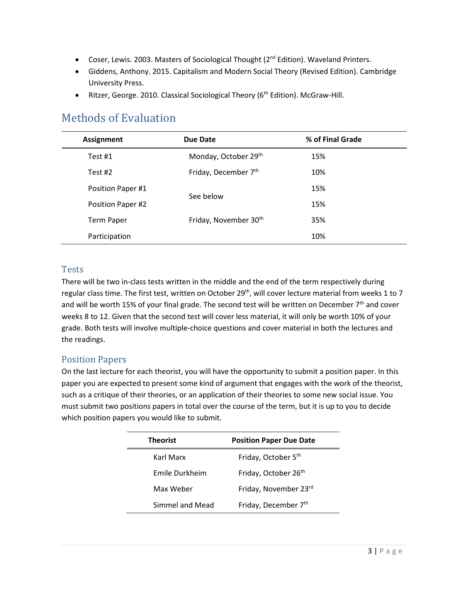- Coser, Lewis. 2003. Masters of Sociological Thought (2<sup>nd</sup> Edition). Waveland Printers.
- Giddens, Anthony. 2015. Capitalism and Modern Social Theory (Revised Edition). Cambridge University Press.
- Ritzer, George. 2010. Classical Sociological Theory (6<sup>th</sup> Edition). McGraw-Hill.

### Methods of Evaluation

| <b>Assignment</b> | Due Date                          | % of Final Grade |  |
|-------------------|-----------------------------------|------------------|--|
| Test #1           | Monday, October 29th              | 15%              |  |
| Test $#2$         | Friday, December 7th              | 10%              |  |
| Position Paper #1 |                                   | 15%              |  |
| Position Paper #2 | See below                         | 15%              |  |
| Term Paper        | Friday, November 30 <sup>th</sup> | 35%              |  |
| Participation     |                                   | 10%              |  |

#### Tests

There will be two in-class tests written in the middle and the end of the term respectively during regular class time. The first test, written on October 29<sup>th</sup>, will cover lecture material from weeks 1 to 7 and will be worth 15% of your final grade. The second test will be written on December  $7<sup>th</sup>$  and cover weeks 8 to 12. Given that the second test will cover less material, it will only be worth 10% of your grade. Both tests will involve multiple-choice questions and cover material in both the lectures and the readings.

### Position Papers

On the last lecture for each theorist, you will have the opportunity to submit a position paper. In this paper you are expected to present some kind of argument that engages with the work of the theorist, such as a critique of their theories, or an application of their theories to some new social issue. You must submit two positions papers in total over the course of the term, but it is up to you to decide which position papers you would like to submit.

| <b>Theorist</b> | <b>Position Paper Due Date</b>   |
|-----------------|----------------------------------|
| Karl Marx       | Friday, October 5 <sup>th</sup>  |
| Emile Durkheim  | Friday, October 26 <sup>th</sup> |
| Max Weber       | Friday, November 23rd            |
| Simmel and Mead | Friday, December 7th             |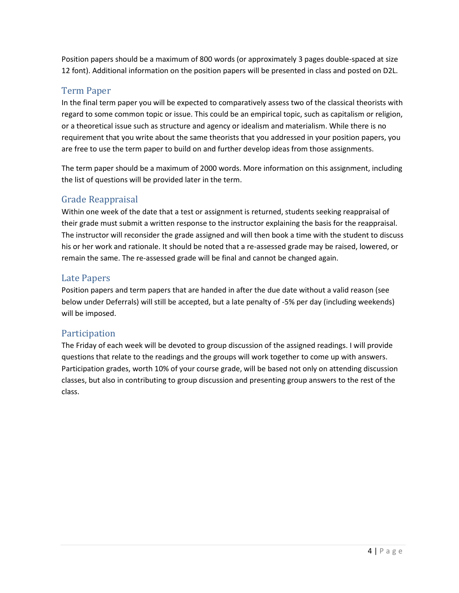Position papers should be a maximum of 800 words (or approximately 3 pages double-spaced at size 12 font). Additional information on the position papers will be presented in class and posted on D2L.

### Term Paper

In the final term paper you will be expected to comparatively assess two of the classical theorists with regard to some common topic or issue. This could be an empirical topic, such as capitalism or religion, or a theoretical issue such as structure and agency or idealism and materialism. While there is no requirement that you write about the same theorists that you addressed in your position papers, you are free to use the term paper to build on and further develop ideas from those assignments.

The term paper should be a maximum of 2000 words. More information on this assignment, including the list of questions will be provided later in the term.

### Grade Reappraisal

Within one week of the date that a test or assignment is returned, students seeking reappraisal of their grade must submit a written response to the instructor explaining the basis for the reappraisal. The instructor will reconsider the grade assigned and will then book a time with the student to discuss his or her work and rationale. It should be noted that a re-assessed grade may be raised, lowered, or remain the same. The re-assessed grade will be final and cannot be changed again.

### Late Papers

Position papers and term papers that are handed in after the due date without a valid reason (see below under Deferrals) will still be accepted, but a late penalty of -5% per day (including weekends) will be imposed.

### Participation

The Friday of each week will be devoted to group discussion of the assigned readings. I will provide questions that relate to the readings and the groups will work together to come up with answers. Participation grades, worth 10% of your course grade, will be based not only on attending discussion classes, but also in contributing to group discussion and presenting group answers to the rest of the class.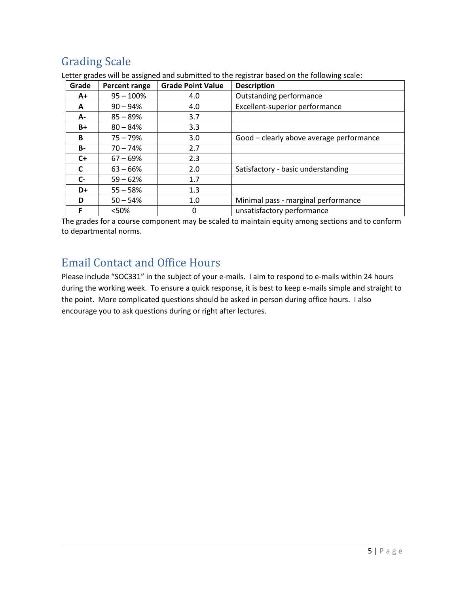# Grading Scale

| Grade | Percent range | <b>Grade Point Value</b> | <b>Description</b>                       |
|-------|---------------|--------------------------|------------------------------------------|
| A+    | $95 - 100\%$  | 4.0                      | Outstanding performance                  |
| A     | $90 - 94\%$   | 4.0                      | Excellent-superior performance           |
| А-    | $85 - 89%$    | 3.7                      |                                          |
| B+    | $80 - 84%$    | 3.3                      |                                          |
| B     | $75 - 79%$    | 3.0                      | Good - clearly above average performance |
| B-    | $70 - 74%$    | 2.7                      |                                          |
| $C+$  | $67 - 69\%$   | 2.3                      |                                          |
| C     | $63 - 66%$    | 2.0                      | Satisfactory - basic understanding       |
| $C -$ | $59 - 62%$    | 1.7                      |                                          |
| D+    | $55 - 58%$    | 1.3                      |                                          |
| D     | $50 - 54%$    | 1.0                      | Minimal pass - marginal performance      |
| F     | < 50%         | 0                        | unsatisfactory performance               |

Letter grades will be assigned and submitted to the registrar based on the following scale:

The grades for a course component may be scaled to maintain equity among sections and to conform to departmental norms.

### Email Contact and Office Hours

Please include "SOC331" in the subject of your e-mails. I aim to respond to e-mails within 24 hours during the working week. To ensure a quick response, it is best to keep e-mails simple and straight to the point. More complicated questions should be asked in person during office hours. I also encourage you to ask questions during or right after lectures.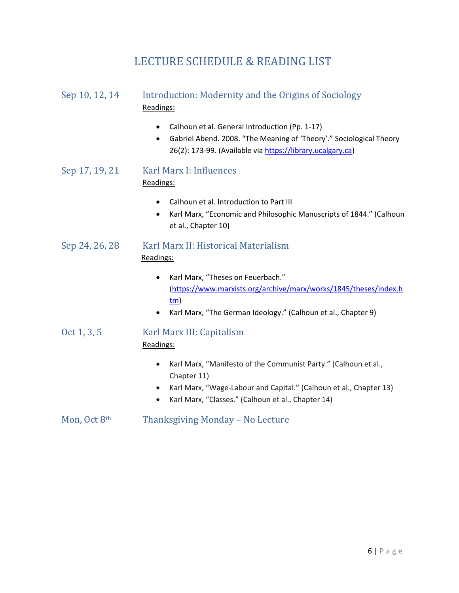### LECTURE SCHEDULE & READING LIST

### Sep 10, 12, 14 Introduction: Modernity and the Origins of Sociology Readings:

- Calhoun et al. General Introduction (Pp. 1-17)
- Gabriel Abend. 2008. "The Meaning of 'Theory'." Sociological Theory 26(2): 173-99. (Available via [https://library.ucalgary.ca\)](https://library.ucalgary.ca/)
- Sep 17, 19, 21 Karl Marx I: Influences Readings:
	- Calhoun et al. Introduction to Part III
	- Karl Marx, "Economic and Philosophic Manuscripts of 1844." (Calhoun et al., Chapter 10)
- Sep 24, 26, 28 Karl Marx II: Historical Materialism Readings:
	- Karl Marx, "Theses on Feuerbach." [\(https://www.marxists.org/archive/marx/works/1845/theses/index.h](https://www.marxists.org/archive/marx/works/1845/theses/index.htm) [tm\)](https://www.marxists.org/archive/marx/works/1845/theses/index.htm)
	- Karl Marx, "The German Ideology." (Calhoun et al., Chapter 9)
- Oct 1, 3, 5 Karl Marx III: Capitalism Readings:
	- Karl Marx, "Manifesto of the Communist Party." (Calhoun et al., Chapter 11)
	- Karl Marx, "Wage-Labour and Capital." (Calhoun et al., Chapter 13)
	- Karl Marx, "Classes." (Calhoun et al., Chapter 14)
- Mon, Oct 8<sup>th</sup> Thanksgiving Monday No Lecture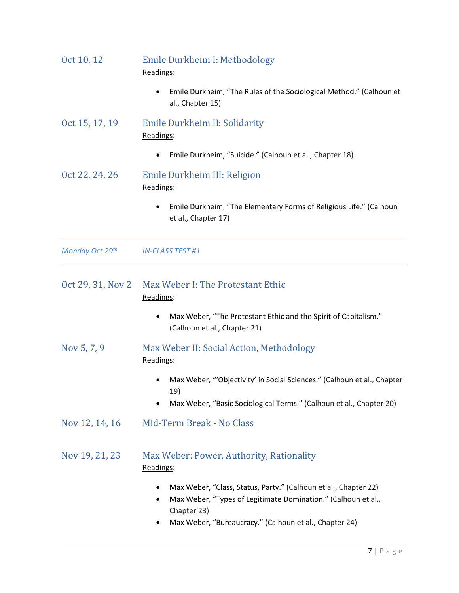| Oct 10, 12        | Emile Durkheim I: Methodology<br>Readings:                                                                                                                                                                          |
|-------------------|---------------------------------------------------------------------------------------------------------------------------------------------------------------------------------------------------------------------|
|                   | Emile Durkheim, "The Rules of the Sociological Method." (Calhoun et<br>al., Chapter 15)                                                                                                                             |
| Oct 15, 17, 19    | Emile Durkheim II: Solidarity<br>Readings:                                                                                                                                                                          |
|                   | Emile Durkheim, "Suicide." (Calhoun et al., Chapter 18)                                                                                                                                                             |
| Oct 22, 24, 26    | Emile Durkheim III: Religion<br>Readings:                                                                                                                                                                           |
|                   | Emile Durkheim, "The Elementary Forms of Religious Life." (Calhoun<br>et al., Chapter 17)                                                                                                                           |
| Monday Oct 29th   | <b>IN-CLASS TEST #1</b>                                                                                                                                                                                             |
| Oct 29, 31, Nov 2 | Max Weber I: The Protestant Ethic<br>Readings:                                                                                                                                                                      |
|                   | Max Weber, "The Protestant Ethic and the Spirit of Capitalism."<br>(Calhoun et al., Chapter 21)                                                                                                                     |
| Nov 5, 7, 9       | Max Weber II: Social Action, Methodology<br>Readings:                                                                                                                                                               |
|                   | Max Weber, "'Objectivity' in Social Sciences." (Calhoun et al., Chapter<br>19)                                                                                                                                      |
|                   | Max Weber, "Basic Sociological Terms." (Calhoun et al., Chapter 20)<br>$\bullet$                                                                                                                                    |
| Nov 12, 14, 16    | Mid-Term Break - No Class                                                                                                                                                                                           |
| Nov 19, 21, 23    | Max Weber: Power, Authority, Rationality<br>Readings:                                                                                                                                                               |
|                   | Max Weber, "Class, Status, Party." (Calhoun et al., Chapter 22)<br>٠<br>Max Weber, "Types of Legitimate Domination." (Calhoun et al.,<br>٠<br>Chapter 23)<br>Max Weber, "Bureaucracy." (Calhoun et al., Chapter 24) |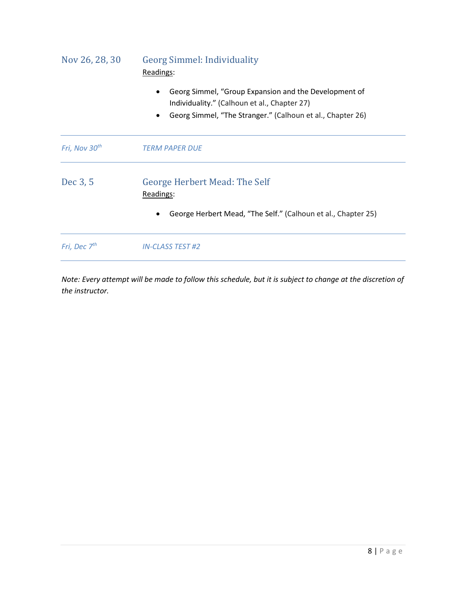| Nov 26, 28, 30            | <b>Georg Simmel: Individuality</b><br>Readings:                                                                                                                                  |  |  |
|---------------------------|----------------------------------------------------------------------------------------------------------------------------------------------------------------------------------|--|--|
|                           | Georg Simmel, "Group Expansion and the Development of<br>Individuality." (Calhoun et al., Chapter 27)<br>Georg Simmel, "The Stranger." (Calhoun et al., Chapter 26)<br>$\bullet$ |  |  |
| Fri, Nov 30 <sup>th</sup> | <b>TERM PAPER DUE</b>                                                                                                                                                            |  |  |
| Dec 3, 5                  | <b>George Herbert Mead: The Self</b><br>Readings:                                                                                                                                |  |  |
|                           | George Herbert Mead, "The Self." (Calhoun et al., Chapter 25)                                                                                                                    |  |  |
| Fri, Dec 7 <sup>th</sup>  | <b>IN-CLASS TEST #2</b>                                                                                                                                                          |  |  |

*Note: Every attempt will be made to follow this schedule, but it is subject to change at the discretion of the instructor.*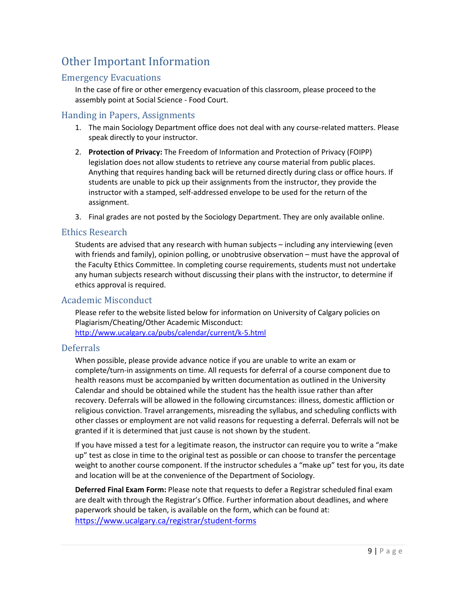# Other Important Information

### Emergency Evacuations

In the case of fire or other emergency evacuation of this classroom, please proceed to the assembly point at Social Science - Food Court.

#### Handing in Papers, Assignments

- 1. The main Sociology Department office does not deal with any course-related matters. Please speak directly to your instructor.
- 2. **Protection of Privacy:** The Freedom of Information and Protection of Privacy (FOIPP) legislation does not allow students to retrieve any course material from public places. Anything that requires handing back will be returned directly during class or office hours. If students are unable to pick up their assignments from the instructor, they provide the instructor with a stamped, self-addressed envelope to be used for the return of the assignment.
- 3. Final grades are not posted by the Sociology Department. They are only available online.

#### Ethics Research

Students are advised that any research with human subjects – including any interviewing (even with friends and family), opinion polling, or unobtrusive observation – must have the approval of the Faculty Ethics Committee. In completing course requirements, students must not undertake any human subjects research without discussing their plans with the instructor, to determine if ethics approval is required.

### Academic Misconduct

Please refer to the website listed below for information on University of Calgary policies on Plagiarism/Cheating/Other Academic Misconduct: <http://www.ucalgary.ca/pubs/calendar/current/k-5.html>

#### Deferrals

When possible, please provide advance notice if you are unable to write an exam or complete/turn-in assignments on time. All requests for deferral of a course component due to health reasons must be accompanied by written documentation as outlined in the University Calendar and should be obtained while the student has the health issue rather than after recovery. Deferrals will be allowed in the following circumstances: illness, domestic affliction or religious conviction. Travel arrangements, misreading the syllabus, and scheduling conflicts with other classes or employment are not valid reasons for requesting a deferral. Deferrals will not be granted if it is determined that just cause is not shown by the student.

If you have missed a test for a legitimate reason, the instructor can require you to write a "make up" test as close in time to the original test as possible or can choose to transfer the percentage weight to another course component. If the instructor schedules a "make up" test for you, its date and location will be at the convenience of the Department of Sociology.

**Deferred Final Exam Form:** Please note that requests to defer a Registrar scheduled final exam are dealt with through the Registrar's Office. Further information about deadlines, and where paperwork should be taken, is available on the form, which can be found at: <https://www.ucalgary.ca/registrar/student-forms>